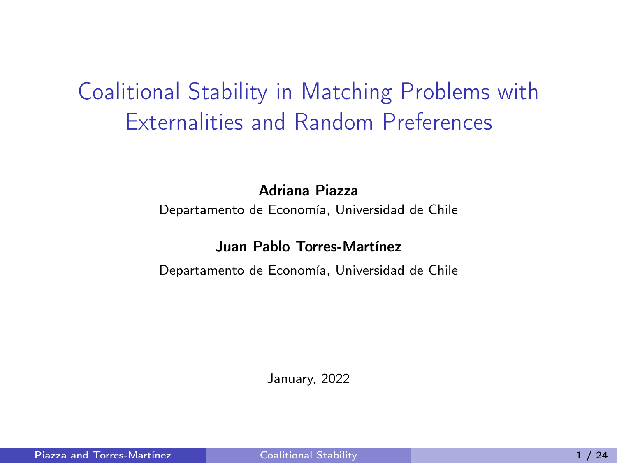# <span id="page-0-0"></span>Coalitional Stability in Matching Problems with Externalities and Random Preferences

Adriana Piazza

Departamento de Economía, Universidad de Chile

#### Juan Pablo Torres-Martínez

Departamento de Economía, Universidad de Chile

January, 2022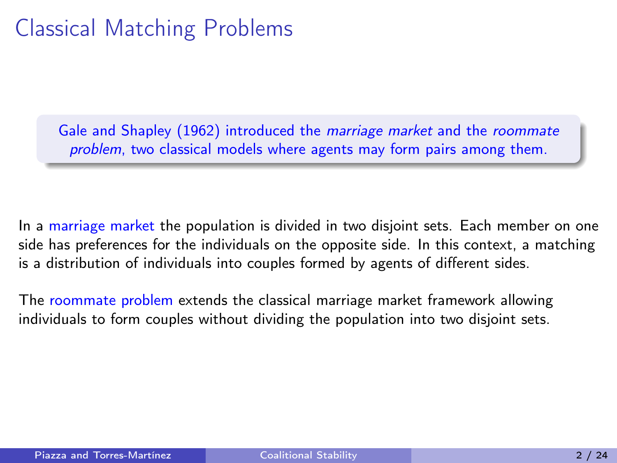# Classical Matching Problems

Gale and Shapley (1962) introduced the *marriage market* and the *roommate* problem, two classical models where agents may form pairs among them.

In a marriage market the population is divided in two disjoint sets. Each member on one side has preferences for the individuals on the opposite side. In this context, a matching is a distribution of individuals into couples formed by agents of different sides.

The roommate problem extends the classical marriage market framework allowing individuals to form couples without dividing the population into two disjoint sets.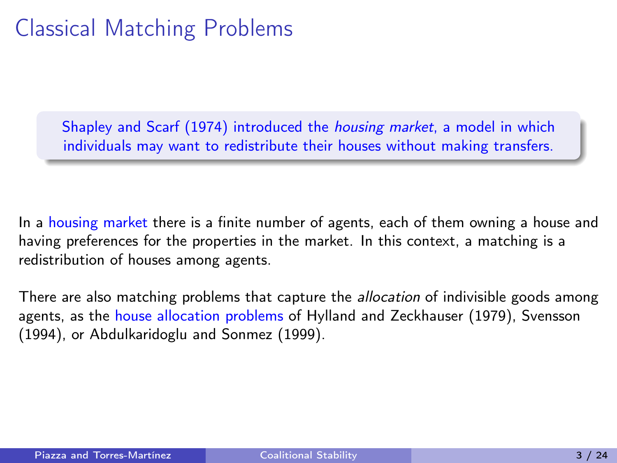# Classical Matching Problems

Shapley and Scarf (1974) introduced the housing market, a model in which individuals may want to redistribute their houses without making transfers.

In a housing market there is a finite number of agents, each of them owning a house and having preferences for the properties in the market. In this context, a matching is a redistribution of houses among agents.

There are also matching problems that capture the *allocation* of indivisible goods among agents, as the house allocation problems of Hylland and Zeckhauser (1979), Svensson (1994), or Abdulkaridoglu and Sonmez (1999).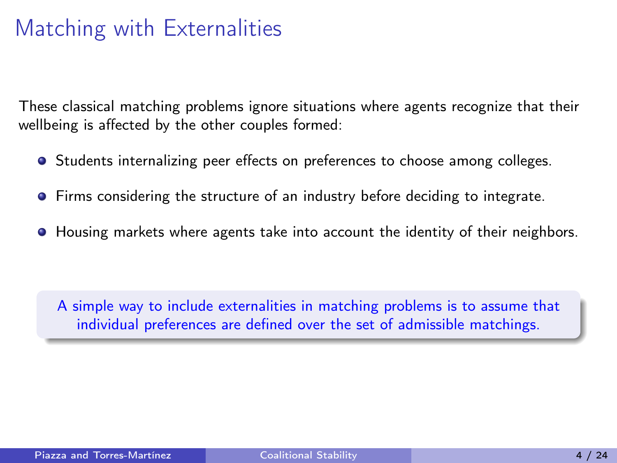# Matching with Externalities

These classical matching problems ignore situations where agents recognize that their wellbeing is affected by the other couples formed:

- Students internalizing peer effects on preferences to choose among colleges.
- **•** Firms considering the structure of an industry before deciding to integrate.
- $\bullet$  Housing markets where agents take into account the identity of their neighbors.

A simple way to include externalities in matching problems is to assume that individual preferences are defined over the set of admissible matchings.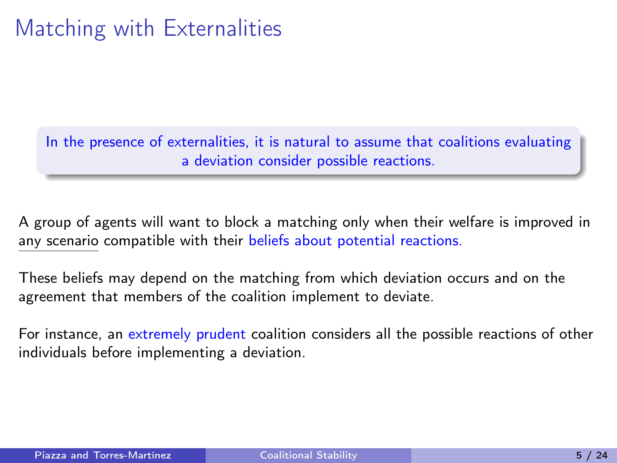# Matching with Externalities

In the presence of externalities, it is natural to assume that coalitions evaluating a deviation consider possible reactions.

A group of agents will want to block a matching only when their welfare is improved in any scenario compatible with their beliefs about potential reactions.

These beliefs may depend on the matching from which deviation occurs and on the agreement that members of the coalition implement to deviate.

For instance, an extremely prudent coalition considers all the possible reactions of other individuals before implementing a deviation.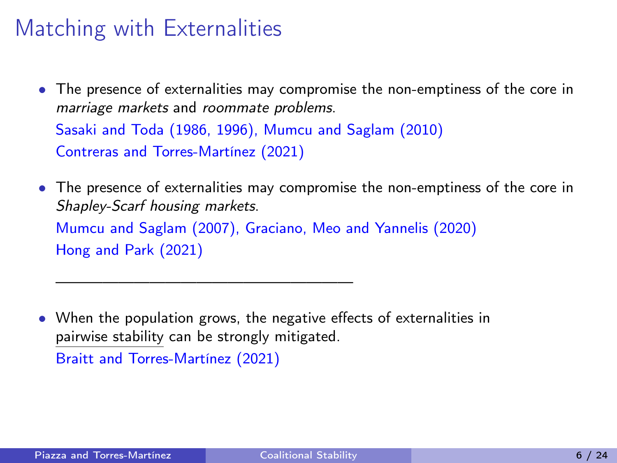## Matching with Externalities

• The presence of externalities may compromise the non-emptiness of the core in marriage markets and roommate problems. Sasaki and Toda (1986, 1996), Mumcu and Saglam (2010)

Contreras and Torres-Martínez (2021)

———————————————————

• The presence of externalities may compromise the non-emptiness of the core in Shapley-Scarf housing markets. Mumcu and Saglam (2007), Graciano, Meo and Yannelis (2020)

Hong and Park (2021)

• When the population grows, the negative effects of externalities in pairwise stability can be strongly mitigated. Braitt and Torres-Martínez (2021)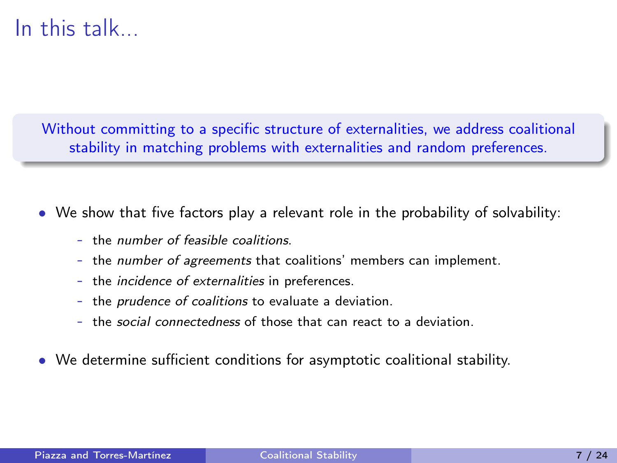### In this talk...

Without committing to a specific structure of externalities, we address coalitional stability in matching problems with externalities and random preferences.

- We show that five factors play a relevant role in the probability of solvability:
	- the number of feasible coalitions.
	- the *number of agreements* that coalitions' members can implement.
	- the *incidence of externalities* in preferences.
	- the prudence of coalitions to evaluate a deviation.
	- the social connectedness of those that can react to a deviation.
- We determine sufficient conditions for asymptotic coalitional stability.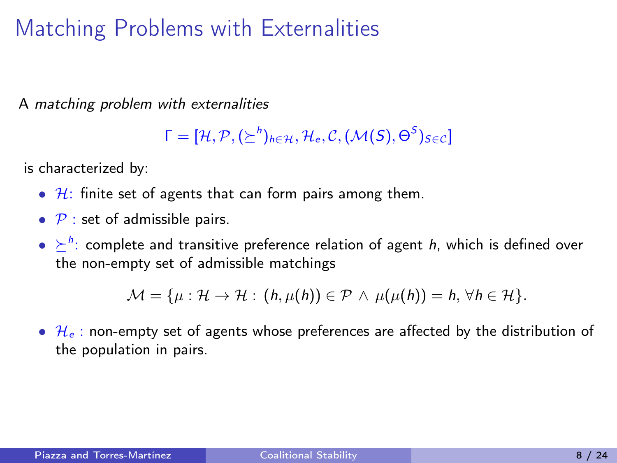A matching problem with externalities

 $\mathsf{\Gamma} = [\mathcal{H}, \mathcal{P}, (\succeq^h)_{h \in \mathcal{H}}, \mathcal{H}_{e}, \mathcal{C}, (\mathcal{M}(\mathcal{S}), \Theta^{\mathcal{S}})_{S \in \mathcal{C}}]$ 

is characterized by:

- $H$ : finite set of agents that can form pairs among them.
- $P$  : set of admissible pairs.
- $\bullet \geq^h$ : complete and transitive preference relation of agent h, which is defined over the non-empty set of admissible matchings

 $\mathcal{M} = \{u : \mathcal{H} \to \mathcal{H} : (h, \mu(h)) \in \mathcal{P} \land \mu(\mu(h)) = h, \forall h \in \mathcal{H}\}.$ 

•  $\mathcal{H}_e$ : non-empty set of agents whose preferences are affected by the distribution of the population in pairs.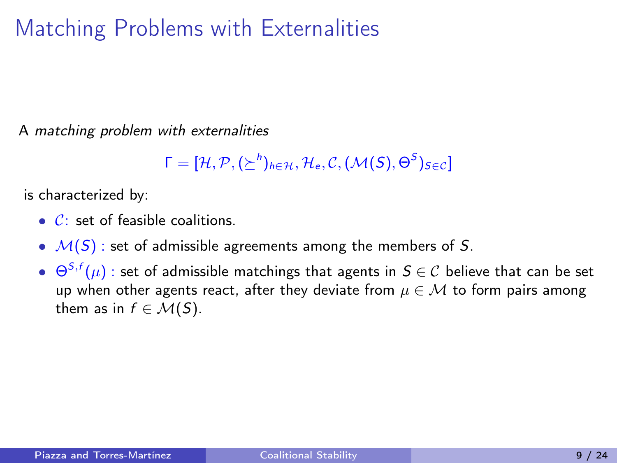A matching problem with externalities

 $\mathsf{\Gamma} = [\mathcal{H}, \mathcal{P}, (\succeq^h)_{h \in \mathcal{H}}, \mathcal{H}_{e}, \mathcal{C}, (\mathcal{M}(\mathcal{S}), \Theta^{\mathcal{S}})_{S \in \mathcal{C}}]$ 

is characterized by:

- $\bullet$   $\mathcal{C}$ : set of feasible coalitions.
- $M(S)$ : set of admissible agreements among the members of S.
- $\bullet\;\; \Theta^{\mathcal{S},f}(\mu)$  : set of admissible matchings that agents in  $\mathcal{S}\in\mathcal{C}$  believe that can be set up when other agents react, after they deviate from  $\mu \in \mathcal{M}$  to form pairs among them as in  $f \in \mathcal{M}(S)$ .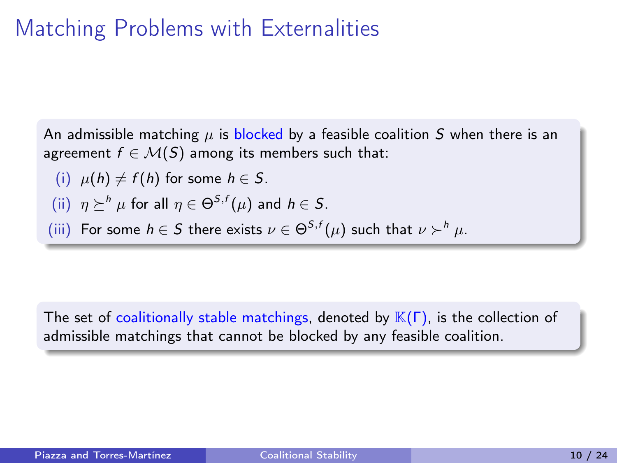An admissible matching  $\mu$  is blocked by a feasible coalition S when there is an agreement  $f \in \mathcal{M}(S)$  among its members such that:

(i) 
$$
\mu(h) \neq f(h)
$$
 for some  $h \in S$ .

(ii) 
$$
\eta \succeq^h \mu
$$
 for all  $\eta \in \Theta^{S,f}(\mu)$  and  $h \in S$ .

(iii) For some 
$$
h \in S
$$
 there exists  $\nu \in \Theta^{S,f}(\mu)$  such that  $\nu \succ^h \mu$ .

The set of coalitionally stable matchings, denoted by  $\mathbb{K}(\Gamma)$ , is the collection of admissible matchings that cannot be blocked by any feasible coalition.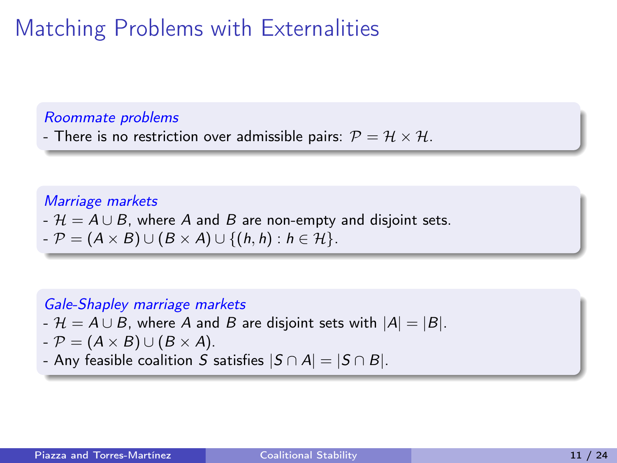#### Roommate problems

- There is no restriction over admissible pairs:  $\mathcal{P} = \mathcal{H} \times \mathcal{H}$ .

#### Marriage markets

- $\mathcal{H} = A \cup B$ , where A and B are non-empty and disjoint sets.
- $-P = (A \times B) \cup (B \times A) \cup \{(h,h): h \in \mathcal{H}\}.$

### Gale-Shapley marriage markets

- $-A \cup B$ , where A and B are disjoint sets with  $|A| = |B|$ .
- $-P = (A \times B) \cup (B \times A).$
- Any feasible coalition S satisfies  $|S \cap A| = |S \cap B|$ .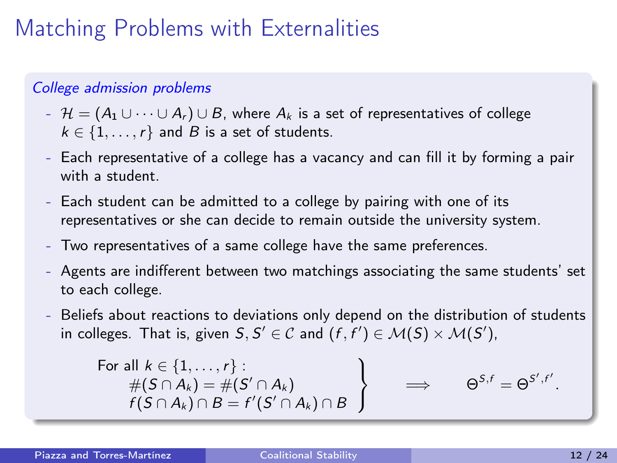### College admission problems

- $H = (A_1 \cup \cdots \cup A_r) \cup B$ , where  $A_k$  is a set of representatives of college  $k \in \{1, \ldots, r\}$  and B is a set of students.
- Each representative of a college has a vacancy and can fill it by forming a pair with a student.
- Each student can be admitted to a college by pairing with one of its representatives or she can decide to remain outside the university system.
- Two representatives of a same college have the same preferences.
- Agents are indifferent between two matchings associating the same students' set to each college.
- Beliefs about reactions to deviations only depend on the distribution of students in colleges. That is, given  $S, S' \in \mathcal{C}$  and  $(f, f') \in \mathcal{M}(S) \times \mathcal{M}(S')$ ,

For all 
$$
k \in \{1, ..., r\}
$$
:  
\n
$$
\begin{array}{c}\n\#(S \cap A_k) = \#(S' \cap A_k) \\
f(S \cap A_k) \cap B = f'(S' \cap A_k) \cap B\n\end{array}\n\right\} \implies \Theta^{S,f} = \Theta^{S',f'}.
$$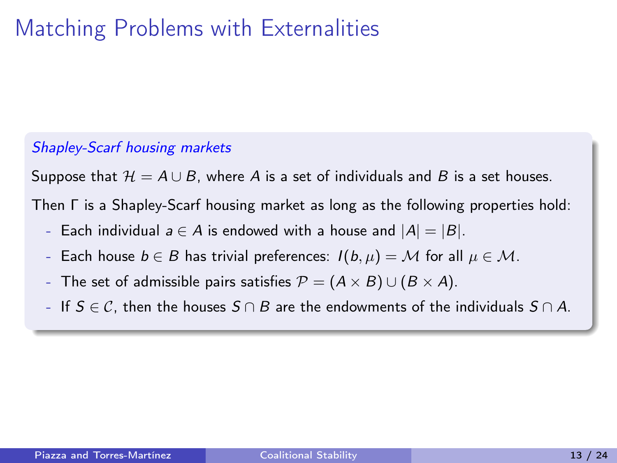### Shapley-Scarf housing markets

Suppose that  $\mathcal{H} = A \cup B$ , where A is a set of individuals and B is a set houses.

Then Γ is a Shapley-Scarf housing market as long as the following properties hold:

- Each individual  $a \in A$  is endowed with a house and  $|A| = |B|$ .
- Each house  $b \in B$  has trivial preferences:  $I(b, \mu) = M$  for all  $\mu \in M$ .
- The set of admissible pairs satisfies  $\mathcal{P} = (A \times B) \cup (B \times A)$ .
- If  $S \in \mathcal{C}$ , then the houses  $S \cap B$  are the endowments of the individuals  $S \cap A$ .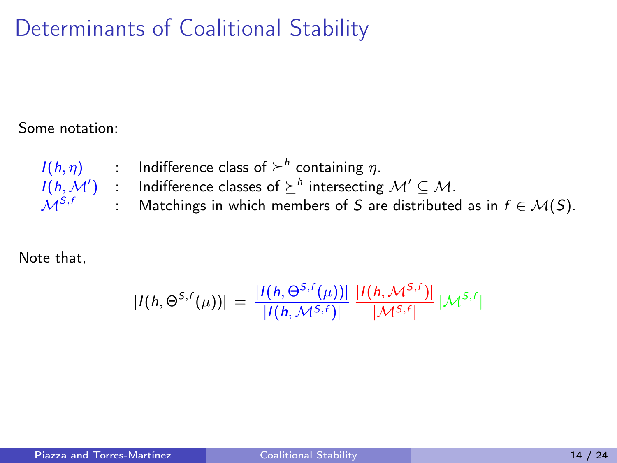### Determinants of Coalitional Stability

Some notation:

 $I(h,\eta)$  : Indifference class of  $\succeq^h$  containing  $\eta$ .  $I(h,\mathcal{M}')$  : Indifference classes of  $\succeq^h$  intersecting  $\mathcal{M}' \subseteq \mathcal{M}.$  $M^{S,f}$ : Matchings in which members of S are distributed as in  $f \in \mathcal{M}(S)$ .

Note that,

$$
|I(h, \Theta^{S,f}(\mu))| = \frac{|I(h, \Theta^{S,f}(\mu))|}{|I(h, \mathcal{M}^{S,f})|} \frac{|I(h, \mathcal{M}^{S,f})|}{|\mathcal{M}^{S,f}|} |\mathcal{M}^{S,f}|
$$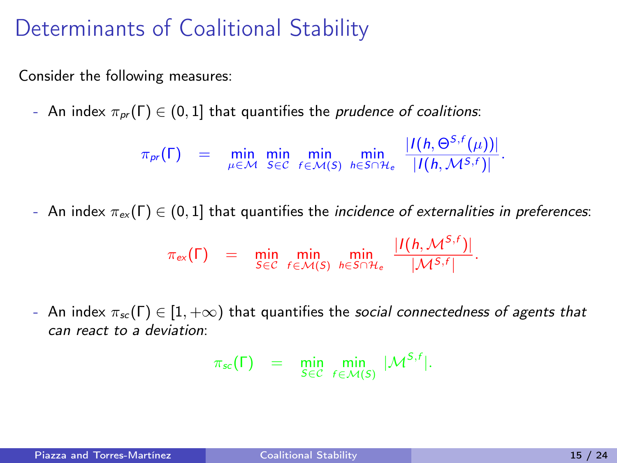### Determinants of Coalitional Stability

Consider the following measures:

- An index  $\pi_{pr}(\Gamma) \in (0,1]$  that quantifies the *prudence of coalitions*:

 $\pi_{pr}(\Gamma)$  = min min min min<br>  $\mu \in \mathcal{M}$  SEC  $f \in \mathcal{M}(S)$   $h \in S \cap \mathcal{H}_e$  $|I(h, \Theta^{S,f}(\mu))|$  $\frac{(\mu)}{|I(h, M^{S,f})|}$ .

- An index  $\pi_{ex}(\Gamma) \in (0,1]$  that quantifies the *incidence of externalities in preferences*:

$$
\pi_{\text{ex}}(\Gamma) = \min_{S \in \mathcal{C}} \min_{f \in \mathcal{M}(S)} \min_{h \in S \cap \mathcal{H}_e} \frac{|I(h, \mathcal{M}^{S,f})|}{|\mathcal{M}^{S,f}|}.
$$

- An index  $\pi_{sc}(\Gamma) \in [1, +\infty)$  that quantifies the *social connectedness of agents that* can react to a deviation:

$$
\pi_{\text{sc}}(\Gamma) = \min_{S \in \mathcal{C}} \min_{f \in \mathcal{M}(S)} |\mathcal{M}^{S,f}|.
$$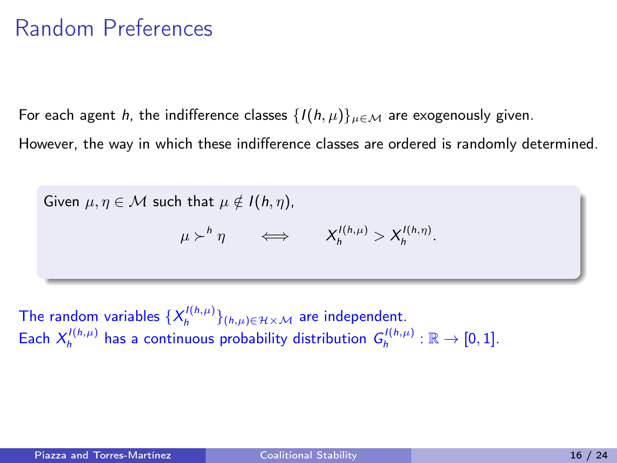### Random Preferences

For each agent h, the indifference classes  $\{I(h,\mu)\}_{\mu \in \mathcal{M}}$  are exogenously given.

However, the way in which these indifference classes are ordered is randomly determined.

Given 
$$
\mu, \eta \in M
$$
 such that  $\mu \notin I(h, \eta)$ ,  

$$
\mu \succ^h \eta \iff X_h^{I(h, \mu)} > X_h^{I(h, \eta)}
$$

The random variables  $\{X^{I(h,\mu)}_{h}\}_{(h,\mu)\in\mathcal{H}\times\mathcal{M}}$  are independent. Each  $X_h^{I(h,\mu)}$  has a continuous probability distribution  $G_h^{I(h,\mu)} : \mathbb{R} \to [0,1].$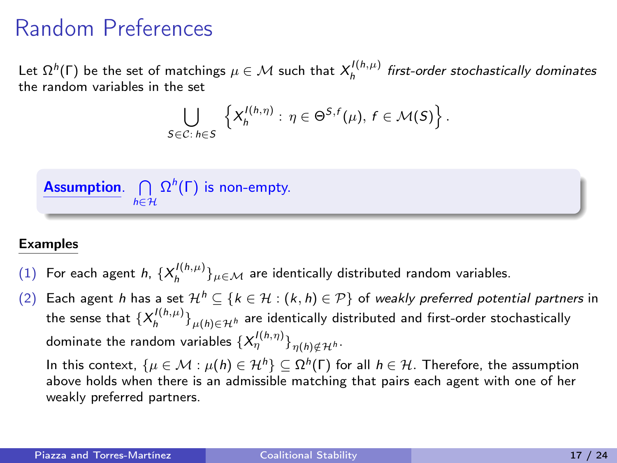### Random Preferences

Let  $\Omega^h(\Gamma)$  be the set of matchings  $\mu \in \mathcal{M}$  such that  $X_h^{I(h,\mu)}$  first-order stochastically dominates the random variables in the set

$$
\bigcup_{S\in\mathcal{C}:\,h\in S}\left\{X_h^{l(h,\eta)}:\,\eta\in\Theta^{S,f}(\mu),\,f\in\mathcal{M}(S)\right\}.
$$



#### Examples

- (1) For each agent  $h$ ,  $\{X_h^{I(h,\mu)}\}_{\mu \in \mathcal{M}}$  are identically distributed random variables.
- Each agent h has a set  $\mathcal{H}^h \subseteq \{k \in \mathcal{H} : (k, h) \in \mathcal{P}\}\$  of weakly preferred potential partners in the sense that  $\{\lambda^{\prime(\hbar,\mu)}_h\}_{\mu(\hbar)\in\mathcal{H}^\hbar}$  are identically distributed and first-order stochastically dominate the random variables  $\{\mathcal{X}^{l(h,\eta)}_{\eta}\}_{\eta(h)\notin\mathcal{H}^{h}}.$

In this context,  $\{\mu \in \mathcal{M} : \mu(h) \in \mathcal{H}^h\} \subseteq \Omega^h(\Gamma)$  for all  $h \in \mathcal{H}$ . Therefore, the assumption above holds when there is an admissible matching that pairs each agent with one of her weakly preferred partners.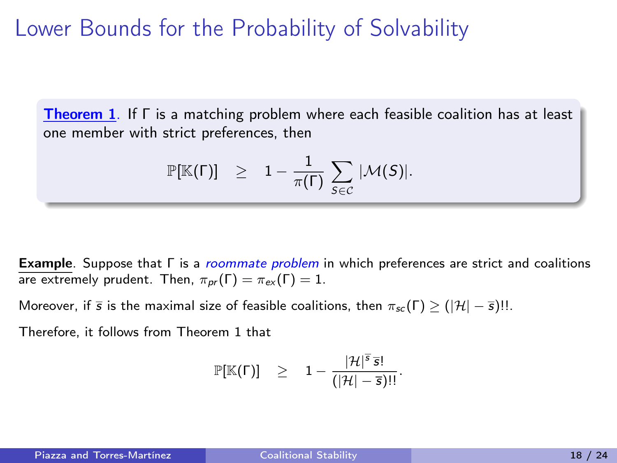### Lower Bounds for the Probability of Solvability

Theorem 1. If Γ is a matching problem where each feasible coalition has at least one member with strict preferences, then

$$
\mathbb{P}[\mathbb{K}(\Gamma)] \geq 1 - \frac{1}{\pi(\Gamma)} \sum_{S \in \mathcal{C}} |\mathcal{M}(S)|.
$$

Example. Suppose that Γ is a roommate problem in which preferences are strict and coalitions are extremely prudent. Then,  $\pi_{pr}(\Gamma) = \pi_{ex}(\Gamma) = 1$ .

Moreover, if  $\bar{s}$  is the maximal size of feasible coalitions, then  $\pi_{sc}(\Gamma) \geq (|\mathcal{H}| - \bar{s})!!$ .

Therefore, it follows from Theorem 1 that

$$
\mathbb{P}[\mathbb{K}(\Gamma)] \quad \geq \quad 1 - \frac{|\mathcal{H}|^{\overline{s}}\,\overline{s}!}{(|\mathcal{H}|-\overline{s})!!}.
$$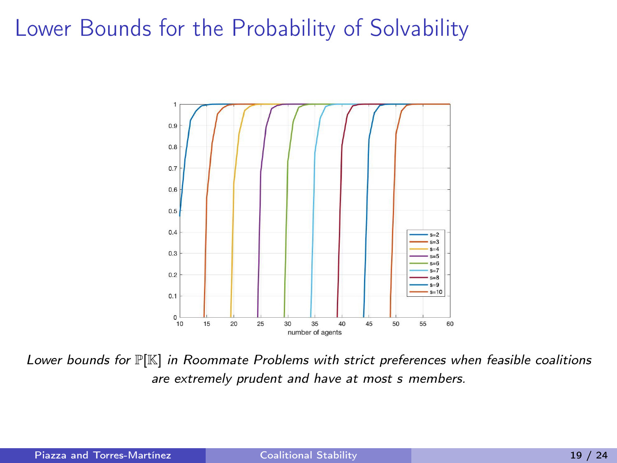### Lower Bounds for the Probability of Solvability



Lower bounds for  $\mathbb{P}[\mathbb{K}]$  in Roommate Problems with strict preferences when feasible coalitions are extremely prudent and have at most s members.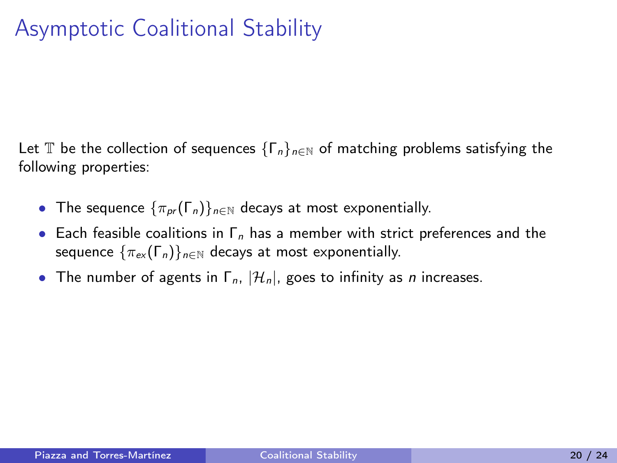Let T be the collection of sequences  $\{\Gamma_n\}_{n\in\mathbb{N}}$  of matching problems satisfying the following properties:

- The sequence  $\{\pi_{pr}(\Gamma_n)\}_{n\in\mathbb{N}}$  decays at most exponentially.
- Each feasible coalitions in  $\Gamma_n$  has a member with strict preferences and the sequence  $\{\pi_{ex}(\Gamma_n)\}_{n\in\mathbb{N}}$  decays at most exponentially.
- The number of agents in  $\Gamma_n$ ,  $|\mathcal{H}_n|$ , goes to infinity as *n* increases.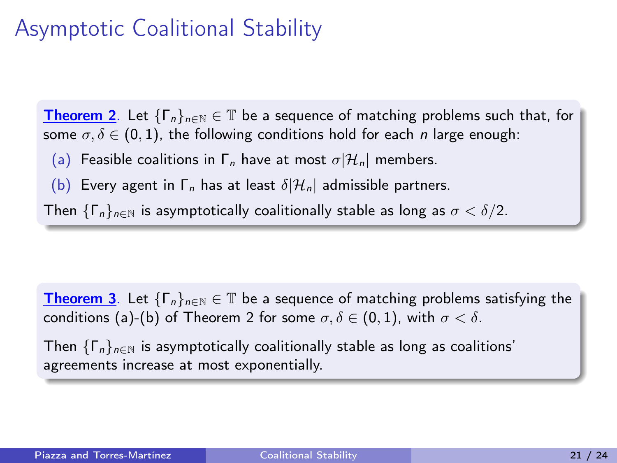## Asymptotic Coalitional Stability

**Theorem 2.** Let  $\{\Gamma_n\}_{n\in\mathbb{N}} \in \mathbb{T}$  be a sequence of matching problems such that, for some  $\sigma, \delta \in (0, 1)$ , the following conditions hold for each *n* large enough:

(a) Feasible coalitions in  $\Gamma_n$  have at most  $\sigma | \mathcal{H}_n|$  members.

(b) Every agent in  $\Gamma_n$  has at least  $\delta |H_n|$  admissible partners.

Then  $\{\Gamma_n\}_{n\in\mathbb{N}}$  is asymptotically coalitionally stable as long as  $\sigma < \delta/2$ .

**Theorem 3**. Let  $\{\Gamma_n\}_{n\in\mathbb{N}}\in\mathbb{T}$  be a sequence of matching problems satisfying the conditions (a)-(b) of Theorem 2 for some  $\sigma, \delta \in (0,1)$ , with  $\sigma < \delta$ .

Then  $\{\Gamma_n\}_{n\in\mathbb{N}}$  is asymptotically coalitionally stable as long as coalitions' agreements increase at most exponentially.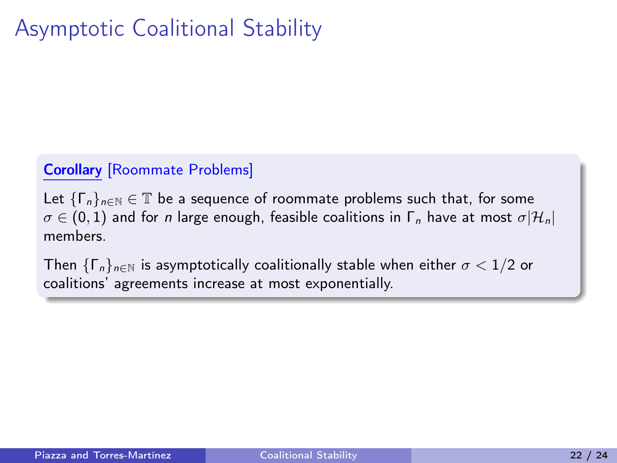# Asymptotic Coalitional Stability

### Corollary [Roommate Problems]

Let  $\{\Gamma_n\}_{n\in\mathbb{N}}\in\mathbb{T}$  be a sequence of roommate problems such that, for some  $\sigma \in (0,1)$  and for n large enough, feasible coalitions in  $\Gamma_n$  have at most  $\sigma | \mathcal{H}_n|$ members.

Then  $\{\Gamma_n\}_{n\in\mathbb{N}}$  is asymptotically coalitionally stable when either  $\sigma < 1/2$  or coalitions' agreements increase at most exponentially.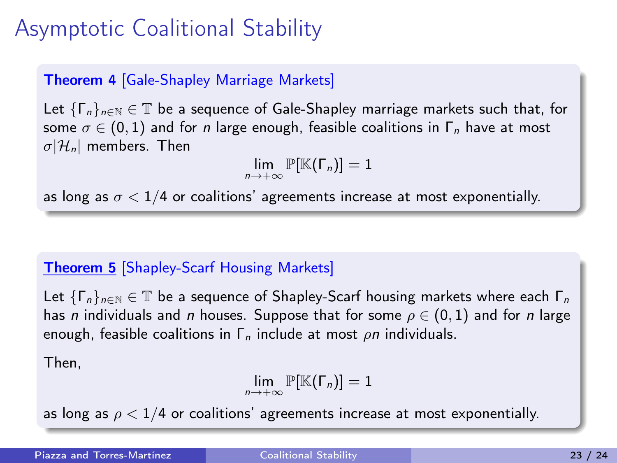# Asymptotic Coalitional Stability

### Theorem 4 [Gale-Shapley Marriage Markets]

Let  $\{\Gamma_n\}_{n\in\mathbb{N}}\in\mathbb{T}$  be a sequence of Gale-Shapley marriage markets such that, for some  $\sigma \in (0,1)$  and for *n* large enough, feasible coalitions in  $\Gamma_n$  have at most  $\sigma$ |H<sub>n</sub>| members. Then

 $\lim_{n\to+\infty} \mathbb{P}[\mathbb{K}(\Gamma_n)] = 1$ 

as long as  $\sigma < 1/4$  or coalitions' agreements increase at most exponentially.

### Theorem 5 [Shapley-Scarf Housing Markets]

Let  $\{\Gamma_n\}_{n\in\mathbb{N}}\in\mathbb{T}$  be a sequence of Shapley-Scarf housing markets where each  $\Gamma_n$ has n individuals and n houses. Suppose that for some  $\rho \in (0,1)$  and for n large enough, feasible coalitions in  $\Gamma_n$  include at most  $\rho n$  individuals.

Then,

$$
\lim_{n\to+\infty}\mathbb{P}[\mathbb{K}(\Gamma_n)]=1
$$

as long as  $\rho < 1/4$  or coalitions' agreements increase at most exponentially.